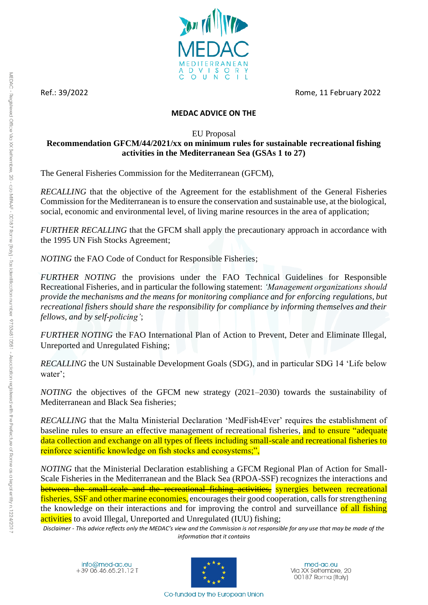

Ref.: 39/2022 Rome, 11 February 2022

## **MEDAC ADVICE ON THE**

## EU Proposal

# **Recommendation GFCM/44/2021/xx on minimum rules for sustainable recreational fishing activities in the Mediterranean Sea (GSAs 1 to 27)**

The General Fisheries Commission for the Mediterranean (GFCM),

*RECALLING* that the objective of the Agreement for the establishment of the General Fisheries Commission for the Mediterranean is to ensure the conservation and sustainable use, at the biological, social, economic and environmental level, of living marine resources in the area of application;

*FURTHER RECALLING* that the GFCM shall apply the precautionary approach in accordance with the 1995 UN Fish Stocks Agreement;

*NOTING* the FAO Code of Conduct for Responsible Fisheries;

*FURTHER NOTING* the provisions under the FAO Technical Guidelines for Responsible Recreational Fisheries, and in particular the following statement: *'Management organizations should provide the mechanisms and the means for monitoring compliance and for enforcing regulations, but recreational fishers should share the responsibility for compliance by informing themselves and their fellows, and by self-policing'*;

*FURTHER NOTING* the FAO International Plan of Action to Prevent, Deter and Eliminate Illegal, Unreported and Unregulated Fishing;

*RECALLING* the UN Sustainable Development Goals (SDG), and in particular SDG 14 'Life below water';

*NOTING* the objectives of the GFCM new strategy (2021–2030) towards the sustainability of Mediterranean and Black Sea fisheries;

*RECALLING* that the Malta Ministerial Declaration 'MedFish4Ever' requires the establishment of baseline rules to ensure an effective management of recreational fisheries, and to ensure "adequate" data collection and exchange on all types of fleets including small-scale and recreational fisheries to reinforce scientific knowledge on fish stocks and ecosystems;",

*NOTING* that the Ministerial Declaration establishing a GFCM Regional Plan of Action for Small-Scale Fisheries in the Mediterranean and the Black Sea (RPOA-SSF) recognizes the interactions and between the small-scale and the recreational fishing activities, synergies between recreational fisheries, SSF and other marine economies, encourages their good cooperation, calls for strengthening the knowledge on their interactions and for improving the control and surveillance of all fishing activities to avoid Illegal, Unreported and Unregulated (IUU) fishing;

*Disclaimer - This advice reflects only the MEDAC's view and the Commission is not responsible for any use that may be made of the information that it contains*

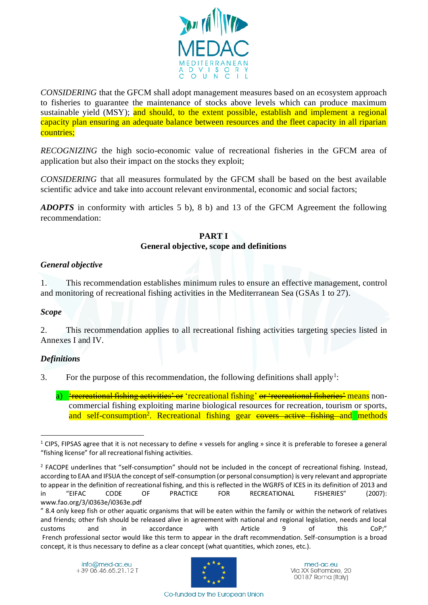

*CONSIDERING* that the GFCM shall adopt management measures based on an ecosystem approach to fisheries to guarantee the maintenance of stocks above levels which can produce maximum sustainable yield (MSY); and should, to the extent possible, establish and implement a regional capacity plan ensuring an adequate balance between resources and the fleet capacity in all riparian countries;

*RECOGNIZING* the high socio-economic value of recreational fisheries in the GFCM area of application but also their impact on the stocks they exploit;

*CONSIDERING* that all measures formulated by the GFCM shall be based on the best available scientific advice and take into account relevant environmental, economic and social factors;

*ADOPTS* in conformity with articles 5 b), 8 b) and 13 of the GFCM Agreement the following recommendation:

# **PART I**

## **General objective, scope and definitions**

## *General objective*

1. This recommendation establishes minimum rules to ensure an effective management, control and monitoring of recreational fishing activities in the Mediterranean Sea (GSAs 1 to 27).

## *Scope*

2. This recommendation applies to all recreational fishing activities targeting species listed in Annexes I and IV.

## *Definitions*

3. For the purpose of this recommendation, the following definitions shall apply<sup>1</sup>:

a) Frecreational fishing activities' or 'recreational fishing' or 'recreational fisheries' means noncommercial fishing exploiting marine biological resources for recreation, tourism or sports, and self-consumption<sup>2</sup>. Recreational fishing gear covers active fishing and methods



<sup>1</sup> CIPS, FIPSAS agree that it is not necessary to define « vessels for angling » since it is preferable to foresee a general "fishing license" for all recreational fishing activities.

 $2$  FACOPE underlines that "self-consumption" should not be included in the concept of recreational fishing. Instead, according to EAA and IFSUA the concept of self-consumption (or personal consumption) is very relevant and appropriate to appear in the definition of recreational fishing, and this is reflected in the WGRFS of ICES in its definition of 2013 and in "EIFAC CODE OF PRACTICE FOR RECREATIONAL FISHERIES" (2007): www.fao.org/3/i0363e/i0363e.pdf

<sup>&</sup>quot; 8.4 only keep fish or other aquatic organisms that will be eaten within the family or within the network of relatives and friends; other fish should be released alive in agreement with national and regional legislation, needs and local customs and in accordance with Article 9 of this CoP;" French professional sector would like this term to appear in the draft recommendation. Self-consumption is a broad concept, it is thus necessary to define as a clear concept (what quantities, which zones, etc.).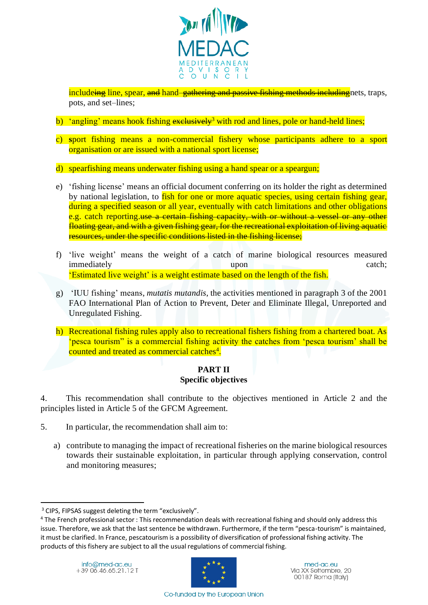

includeing line, spear, and hand–gathering and passive fishing methods including nets, traps, pots, and set–lines;

- b) 'angling' means hook fishing  $exclusively<sup>3</sup>$  with rod and lines, pole or hand-held lines;
- c) **s**port fishing means a non-commercial fishery whose participants adhere to a sport organisation or are issued with a national sport license;
- d) spearfishing means underwater fishing using a hand spear or a speargun;
- e) 'fishing license' means an official document conferring on its holder the right as determined by national legislation, to fish for one or more aquatic species, using certain fishing gear, during a specified season or all year, eventually with catch limitations and other obligations e.g. catch reporting.use a certain fishing capacity, with or without a vessel or any other floating gear, and with a given fishing gear, for the recreational exploitation of living aquatic resources, under the specific conditions listed in the fishing license;
- f) 'live weight' means the weight of a catch of marine biological resources measured immediately upon catch; 'Estimated live weight' is a weight estimate based on the length of the fish.
- g) 'IUU fishing' means, *mutatis mutandis*, the activities mentioned in paragraph 3 of the 2001 FAO International Plan of Action to Prevent, Deter and Eliminate Illegal, Unreported and Unregulated Fishing.
- h) Recreational fishing rules apply also to recreational fishers fishing from a chartered boat. As 'pesca tourism" is a commercial fishing activity the catches from 'pesca tourism' shall be counted and treated as commercial catches<sup>4</sup>.

#### **PART II Specific objectives**

4. This recommendation shall contribute to the objectives mentioned in Article 2 and the principles listed in Article 5 of the GFCM Agreement.

- 5. In particular, the recommendation shall aim to:
	- a) contribute to managing the impact of recreational fisheries on the marine biological resources towards their sustainable exploitation, in particular through applying conservation, control and monitoring measures;



<sup>&</sup>lt;sup>3</sup> CIPS, FIPSAS suggest deleting the term "exclusively".

<sup>&</sup>lt;sup>4</sup> The French professional sector : This recommendation deals with recreational fishing and should only address this issue. Therefore, we ask that the last sentence be withdrawn. Furthermore, if the term "pesca-tourism" is maintained, it must be clarified. In France, pescatourism is a possibility of diversification of professional fishing activity. The products of this fishery are subject to all the usual regulations of commercial fishing.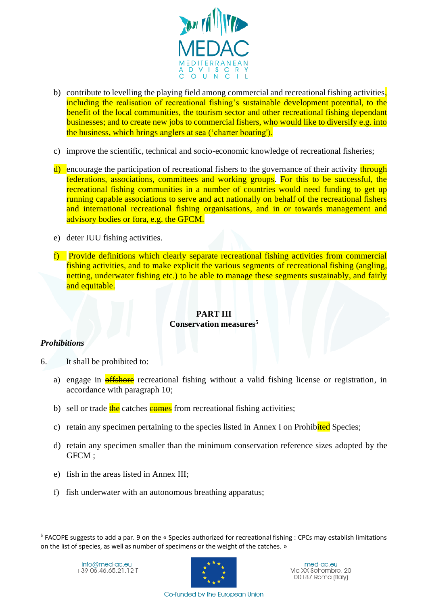

- b) contribute to levelling the playing field among commercial and recreational fishing activities, including the realisation of recreational fishing's sustainable development potential, to the benefit of the local communities, the tourism sector and other recreational fishing dependant businesses; and to create new jobs to commercial fishers, who would like to diversify e.g. into the business, which brings anglers at sea ('charter boating').
- c) improve the scientific, technical and socio-economic knowledge of recreational fisheries;
- d) encourage the participation of recreational fishers to the governance of their activity through federations, associations, committees and working groups. For this to be successful, the recreational fishing communities in a number of countries would need funding to get up running capable associations to serve and act nationally on behalf of the recreational fishers and international recreational fishing organisations, and in or towards management and advisory bodies or fora, e.g. the GFCM.
- e) deter IUU fishing activities.
- f) Provide definitions which clearly separate recreational fishing activities from commercial fishing activities, and to make explicit the various segments of recreational fishing (angling, netting, underwater fishing etc.) to be able to manage these segments sustainably, and fairly and equitable.

#### **PART III Conservation measures<sup>5</sup>**

## *Prohibitions*

- 6. It shall be prohibited to:
	- a) engage in **offshore** recreational fishing without a valid fishing license or registration, in accordance with paragraph 10;
	- b) sell or trade  $\frac{1}{\pi}$  catches  $\frac{1}{\pi}$  from recreational fishing activities;
	- c) retain any specimen pertaining to the species listed in Annex I on Prohibited Species;
	- d) retain any specimen smaller than the minimum conservation reference sizes adopted by the GFCM ;
	- e) fish in the areas listed in Annex III;
	- f) fish underwater with an autonomous breathing apparatus;



<sup>&</sup>lt;sup>5</sup> FACOPE suggests to add a par. 9 on the « Species authorized for recreational fishing : CPCs may establish limitations on the list of species, as well as number of specimens or the weight of the catches. »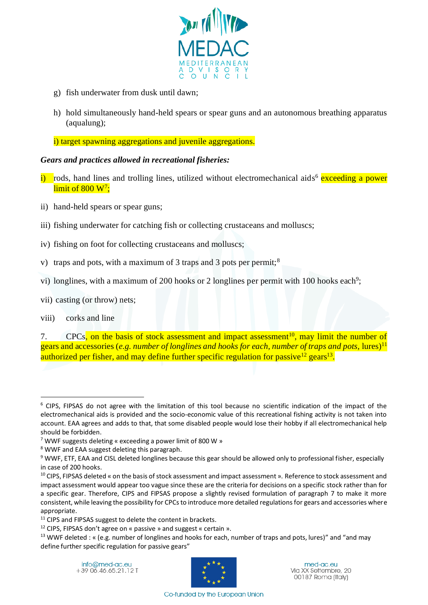

- g) fish underwater from dusk until dawn;
- h) hold simultaneously hand-held spears or spear guns and an autonomous breathing apparatus (aqualung);

i) target spawning aggregations and juvenile aggregations.

## *Gears and practices allowed in recreational fisheries:*

- i) rods, hand lines and trolling lines, utilized without electromechanical aids<sup>6</sup> exceeding a power  $\rm{limit}$  of  $\rm{800}$   $\rm{W}^7;$
- ii) hand-held spears or spear guns;
- iii) fishing underwater for catching fish or collecting crustaceans and molluscs;
- iv) fishing on foot for collecting crustaceans and molluscs;
- v) traps and pots, with a maximum of 3 traps and 3 pots per permit;<sup>8</sup>
- vi) longlines, with a maximum of 200 hooks or 2 longlines per permit with 100 hooks each<sup>9</sup>;
- vii) casting (or throw) nets;
- viii) corks and line

7. CPCs, on the basis of stock assessment and impact assessment<sup>10</sup>, may limit the number of gears and accessories (*e.g. number of longlines and hooks for each, number of traps and pots,* lures)<sup>11</sup> authorized per fisher, and may define further specific regulation for passive<sup>12</sup> gears<sup>13</sup>.

<sup>8</sup> WWF and EAA suggest deleting this paragraph.



<sup>6</sup> CIPS, FIPSAS do not agree with the limitation of this tool because no scientific indication of the impact of the electromechanical aids is provided and the socio-economic value of this recreational fishing activity is not taken into account. EAA agrees and adds to that, that some disabled people would lose their hobby if all electromechanical help should be forbidden.

<sup>7</sup> WWF suggests deleting « exceeding a power limit of 800 W »

<sup>&</sup>lt;sup>9</sup> WWF, ETF, EAA and CISL deleted longlines because this gear should be allowed only to professional fisher, especially in case of 200 hooks.

<sup>10</sup> CIPS, FIPSAS deleted « on the basis of stock assessment and impact assessment ». Reference to stock assessment and impact assessment would appear too vague since these are the criteria for decisions on a specific stock rather than for a specific gear. Therefore, CIPS and FIPSAS propose a slightly revised formulation of paragraph 7 to make it more consistent, while leaving the possibility for CPCs to introduce more detailed regulations for gears and accessories where appropriate.

<sup>&</sup>lt;sup>11</sup> CIPS and FIPSAS suggest to delete the content in brackets.

<sup>12</sup> CIPS, FIPSAS don't agree on « passive » and suggest « certain ».

<sup>&</sup>lt;sup>13</sup> WWF deleted : « (e.g. number of longlines and hooks for each, number of traps and pots, lures)" and "and may define further specific regulation for passive gears"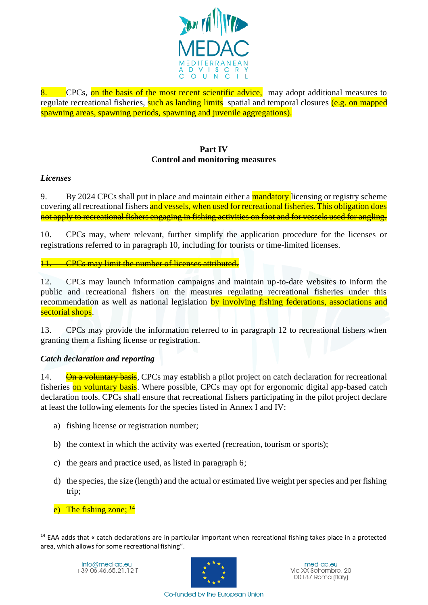

8. CPCs, on the basis of the most recent scientific advice, may adopt additional measures to regulate recreational fisheries, such as landing limits spatial and temporal closures (e.g. on mapped spawning areas, spawning periods, spawning and juvenile aggregations).

## **Part IV Control and monitoring measures**

## *Licenses*

9. By 2024 CPCs shall put in place and maintain either a mandatory licensing or registry scheme covering all recreational fishers and vessels, when used for recreational fisheries. This obligation does not apply to recreational fishers engaging in fishing activities on foot and for vessels used for angling.

10. CPCs may, where relevant, further simplify the application procedure for the licenses or registrations referred to in paragraph 10, including for tourists or time-limited licenses.

11. CPCs may limit the number of licenses attributed.

12. CPCs may launch information campaigns and maintain up-to-date websites to inform the public and recreational fishers on the measures regulating recreational fisheries under this recommendation as well as national legislation by involving fishing federations, associations and sectorial shops.

13. CPCs may provide the information referred to in paragraph 12 to recreational fishers when granting them a fishing license or registration.

## *Catch declaration and reporting*

14. On a voluntary basis, CPCs may establish a pilot project on catch declaration for recreational fisheries on voluntary basis. Where possible, CPCs may opt for ergonomic digital app-based catch declaration tools. CPCs shall ensure that recreational fishers participating in the pilot project declare at least the following elements for the species listed in Annex I and IV:

- a) fishing license or registration number;
- b) the context in which the activity was exerted (recreation, tourism or sports);
- c) the gears and practice used, as listed in paragraph 6;
- d) the species, the size (length) and the actual or estimated live weight per species and per fishing trip;
- e) The fishing zone;  $^{14}$



<sup>&</sup>lt;sup>14</sup> EAA adds that « catch declarations are in particular important when recreational fishing takes place in a protected area, which allows for some recreational fishing".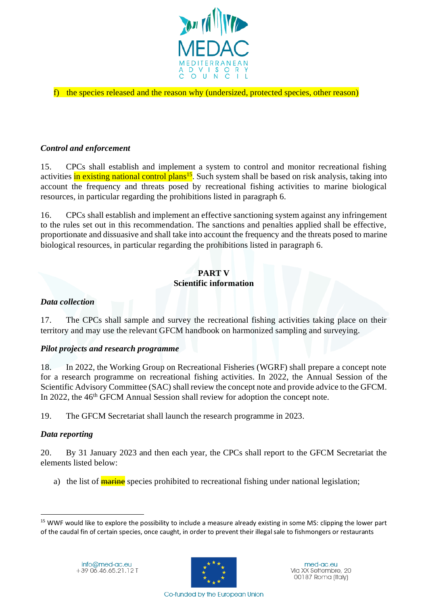

#### f) the species released and the reason why (undersized, protected species, other reason)

#### *Control and enforcement*

15. CPCs shall establish and implement a system to control and monitor recreational fishing activities in existing national control plans<sup>15</sup>. Such system shall be based on risk analysis, taking into account the frequency and threats posed by recreational fishing activities to marine biological resources, in particular regarding the prohibitions listed in paragraph 6.

16. CPCs shall establish and implement an effective sanctioning system against any infringement to the rules set out in this recommendation. The sanctions and penalties applied shall be effective, proportionate and dissuasive and shall take into account the frequency and the threats posed to marine biological resources, in particular regarding the prohibitions listed in paragraph 6.

## **PART V Scientific information**

#### *Data collection*

17. The CPCs shall sample and survey the recreational fishing activities taking place on their territory and may use the relevant GFCM handbook on harmonized sampling and surveying.

#### *Pilot projects and research programme*

18. In 2022, the Working Group on Recreational Fisheries (WGRF) shall prepare a concept note for a research programme on recreational fishing activities. In 2022, the Annual Session of the Scientific Advisory Committee (SAC) shall review the concept note and provide advice to the GFCM. In 2022, the 46<sup>th</sup> GFCM Annual Session shall review for adoption the concept note.

19. The GFCM Secretariat shall launch the research programme in 2023.

#### *Data reporting*

20. By 31 January 2023 and then each year, the CPCs shall report to the GFCM Secretariat the elements listed below:

a) the list of **marine** species prohibited to recreational fishing under national legislation;



<sup>&</sup>lt;sup>15</sup> WWF would like to explore the possibility to include a measure already existing in some MS: clipping the lower part of the caudal fin of certain species, once caught, in order to prevent their illegal sale to fishmongers or restaurants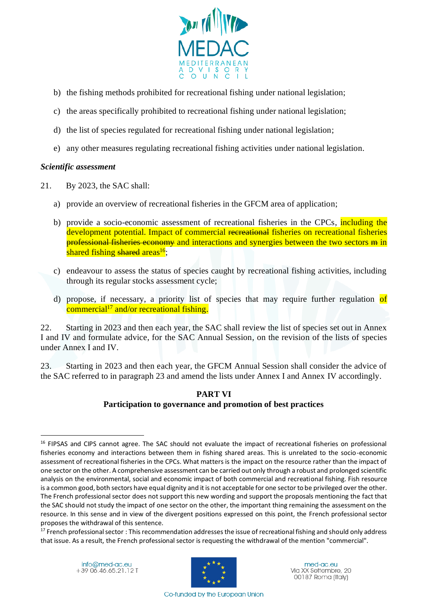

- b) the fishing methods prohibited for recreational fishing under national legislation;
- c) the areas specifically prohibited to recreational fishing under national legislation;
- d) the list of species regulated for recreational fishing under national legislation;
- e) any other measures regulating recreational fishing activities under national legislation.

#### *Scientific assessment*

- 21. By 2023, the SAC shall:
	- a) provide an overview of recreational fisheries in the GFCM area of application;
	- b) provide a socio-economic assessment of recreational fisheries in the CPCs, including the development potential. Impact of commercial recreational fisheries on recreational fisheries professional fisheries economy and interactions and synergies between the two sectors m in shared fishing shared areas<sup>16</sup>;
	- c) endeavour to assess the status of species caught by recreational fishing activities, including through its regular stocks assessment cycle;
	- d) propose, if necessary, a priority list of species that may require further regulation of commercial<sup>17</sup> and/or recreational fishing.

22. Starting in 2023 and then each year, the SAC shall review the list of species set out in Annex I and IV and formulate advice, for the SAC Annual Session, on the revision of the lists of species under Annex I and IV.

23. Starting in 2023 and then each year, the GFCM Annual Session shall consider the advice of the SAC referred to in paragraph 23 and amend the lists under Annex I and Annex IV accordingly.

#### **PART VI Participation to governance and promotion of best practices**



<sup>&</sup>lt;sup>16</sup> FIPSAS and CIPS cannot agree. The SAC should not evaluate the impact of recreational fisheries on professional fisheries economy and interactions between them in fishing shared areas. This is unrelated to the socio-economic assessment of recreational fisheries in the CPCs. What matters is the impact on the resource rather than the impact of one sector on the other. A comprehensive assessment can be carried out only through a robust and prolonged scientific analysis on the environmental, social and economic impact of both commercial and recreational fishing. Fish resource is a common good, both sectors have equal dignity and it is not acceptable for one sector to be privileged over the other. The French professional sector does not support this new wording and support the proposals mentioning the fact that the SAC should not study the impact of one sector on the other, the important thing remaining the assessment on the resource. In this sense and in view of the divergent positions expressed on this point, the French professional sector proposes the withdrawal of this sentence.

 $17$  French professional sector: This recommendation addresses the issue of recreational fishing and should only address that issue. As a result, the French professional sector is requesting the withdrawal of the mention "commercial".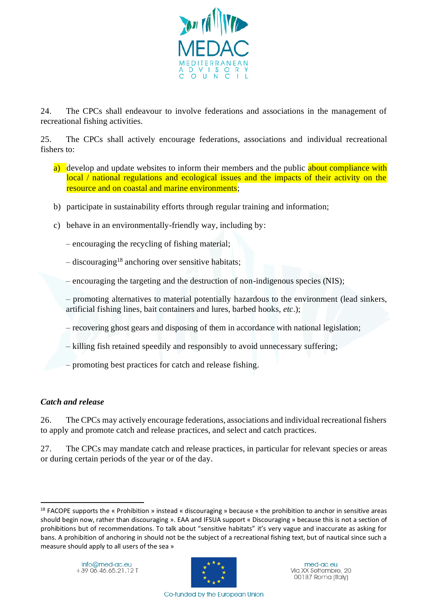

24. The CPCs shall endeavour to involve federations and associations in the management of recreational fishing activities.

25. The CPCs shall actively encourage federations, associations and individual recreational fishers to:

- a) develop and update websites to inform their members and the public about compliance with local / national regulations and ecological issues and the impacts of their activity on the resource and on coastal and marine environments;
- b) participate in sustainability efforts through regular training and information;
- c) behave in an environmentally-friendly way, including by:

– encouraging the recycling of fishing material;

- $-$  discouraging<sup>18</sup> anchoring over sensitive habitats;
- encouraging the targeting and the destruction of non-indigenous species (NIS);
- promoting alternatives to material potentially hazardous to the environment (lead sinkers, artificial fishing lines, bait containers and lures, barbed hooks, *etc*.);
- recovering ghost gears and disposing of them in accordance with national legislation;
- killing fish retained speedily and responsibly to avoid unnecessary suffering;
- promoting best practices for catch and release fishing.

## *Catch and release*

26. The CPCs may actively encourage federations, associations and individual recreational fishers to apply and promote catch and release practices, and select and catch practices.

27. The CPCs may mandate catch and release practices, in particular for relevant species or areas or during certain periods of the year or of the day.



<sup>&</sup>lt;sup>18</sup> FACOPE supports the « Prohibition » instead « discouraging » because « the prohibition to anchor in sensitive areas should begin now, rather than discouraging ». EAA and IFSUA support « Discouraging » because this is not a section of prohibitions but of recommendations. To talk about "sensitive habitats" it's very vague and inaccurate as asking for bans. A prohibition of anchoring in should not be the subject of a recreational fishing text, but of nautical since such a measure should apply to all users of the sea »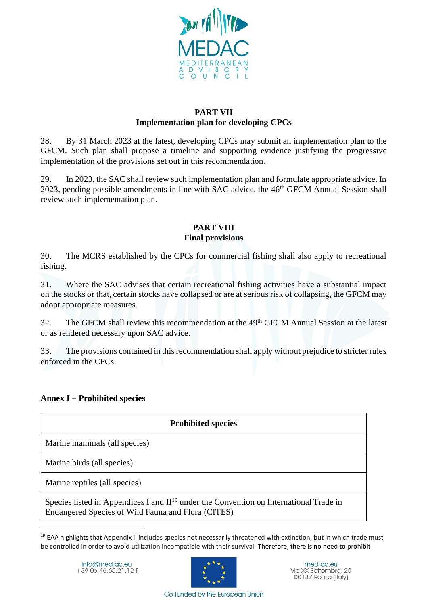

#### **PART VII Implementation plan for developing CPCs**

28. By 31 March 2023 at the latest, developing CPCs may submit an implementation plan to the GFCM. Such plan shall propose a timeline and supporting evidence justifying the progressive implementation of the provisions set out in this recommendation.

29. In 2023, the SAC shall review such implementation plan and formulate appropriate advice. In 2023, pending possible amendments in line with SAC advice, the  $46<sup>th</sup> GFCM$  Annual Session shall review such implementation plan.

# **PART VIII**

## **Final provisions**

30. The MCRS established by the CPCs for commercial fishing shall also apply to recreational fishing.

31. Where the SAC advises that certain recreational fishing activities have a substantial impact on the stocks or that, certain stocks have collapsed or are at serious risk of collapsing, the GFCM may adopt appropriate measures.

32. The GFCM shall review this recommendation at the 49<sup>th</sup> GFCM Annual Session at the latest or as rendered necessary upon SAC advice.

33. The provisions contained in this recommendation shall apply without prejudice to stricter rules enforced in the CPCs.

# **Annex I – Prohibited species**

| <b>Prohibited species</b>                                                                                                                                |  |  |
|----------------------------------------------------------------------------------------------------------------------------------------------------------|--|--|
| Marine mammals (all species)                                                                                                                             |  |  |
| Marine birds (all species)                                                                                                                               |  |  |
| Marine reptiles (all species)                                                                                                                            |  |  |
| Species listed in Appendices I and II <sup>19</sup> under the Convention on International Trade in<br>Endangered Species of Wild Fauna and Flora (CITES) |  |  |

<sup>&</sup>lt;sup>19</sup> EAA highlights that Appendix II includes species not necessarily threatened with extinction, but in which trade must be controlled in order to avoid utilization incompatible with their survival. Therefore, there is no need to prohibit

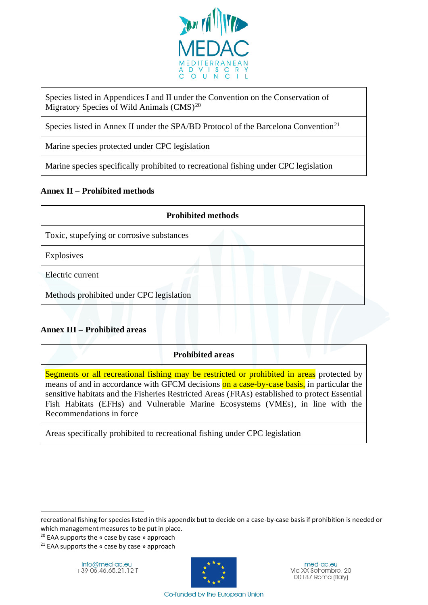

Species listed in Appendices I and II under the Convention on the Conservation of Migratory Species of Wild Animals  $(CMS)^{20}$ 

Species listed in Annex II under the SPA/BD Protocol of the Barcelona Convention<sup>21</sup>

Marine species protected under CPC legislation

Marine species specifically prohibited to recreational fishing under CPC legislation

## **Annex II – Prohibited methods**

| <b>Prohibited methods</b>                 |  |  |
|-------------------------------------------|--|--|
| Toxic, stupefying or corrosive substances |  |  |
| Explosives                                |  |  |
| Electric current                          |  |  |
| Methods prohibited under CPC legislation  |  |  |

## **Annex III – Prohibited areas**

## **Prohibited areas**

Segments or all recreational fishing may be restricted or prohibited in areas protected by means of and in accordance with GFCM decisions on a case-by-case basis, in particular the sensitive habitats and the Fisheries Restricted Areas (FRAs) established to protect Essential Fish Habitats (EFHs) and Vulnerable Marine Ecosystems (VMEs), in line with the Recommendations in force

Areas specifically prohibited to recreational fishing under CPC legislation

 $20$  EAA supports the « case by case » approach



recreational fishing for species listed in this appendix but to decide on a case-by-case basis if prohibition is needed or which management measures to be put in place.

 $21$  EAA supports the « case by case » approach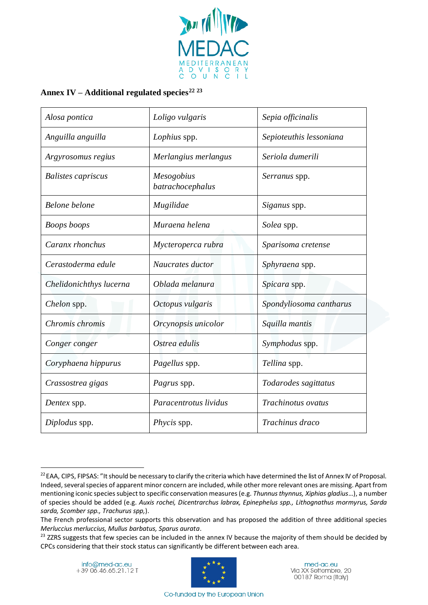

# **Annex IV – Additional regulated species<sup>22</sup> <sup>23</sup>**

| Alosa pontica             | Loligo vulgaris                | Sepia officinalis       |
|---------------------------|--------------------------------|-------------------------|
| Anguilla anguilla         | Lophius spp.                   | Sepioteuthis lessoniana |
| Argyrosomus regius        | Merlangius merlangus           | Seriola dumerili        |
| <b>Balistes capriscus</b> | Mesogobius<br>batrachocephalus | Serranus spp.           |
| Belone belone             | Mugilidae                      | Siganus spp.            |
| <b>Boops</b> boops        | Muraena helena                 | Solea spp.              |
| Caranx rhonchus           | Mycteroperca rubra             | Sparisoma cretense      |
| Cerastoderma edule        | Naucrates ductor               | Sphyraena spp.          |
| Chelidonichthys lucerna   | Oblada melanura                | Spicara spp.            |
| <i>Chelon</i> spp.        | Octopus vulgaris               | Spondyliosoma cantharus |
| Chromis chromis           | Orcynopsis unicolor            | Squilla mantis          |
| Conger conger             | Ostrea edulis                  | Symphodus spp.          |
| Coryphaena hippurus       | Pagellus spp.                  | Tellina spp.            |
| Crassostrea gigas         | <i>Pagrus</i> spp.             | Todarodes sagittatus    |
| Dentex spp.               | Paracentrotus lividus          | Trachinotus ovatus      |
| Diplodus spp.             | <i>Phycis</i> spp.             | Trachinus draco         |



<sup>&</sup>lt;sup>22</sup> EAA, CIPS, FIPSAS: "It should be necessary to clarify the criteria which have determined the list of Annex IV of Proposal. Indeed, several species of apparent minor concern are included, while other more relevant ones are missing. Apart from mentioning iconic species subject to specific conservation measures (e.g. *Thunnus thynnus, Xiphias gladius*…), a number of species should be added (e.g. *Auxis rochei, Dicentrarchus labrax, Epinephelus spp., Lithognathus mormyrus, Sarda sarda, Scomber spp., Trachurus spp,*).

The French professional sector supports this observation and has proposed the addition of three additional species *Merluccius merluccius, Mullus barbatus, Sparus aurata*.

<sup>&</sup>lt;sup>23</sup> ZZRS suggests that few species can be included in the annex IV because the majority of them should be decided by CPCs considering that their stock status can significantly be different between each area.